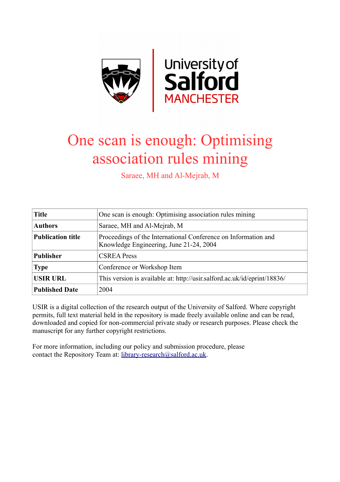

# One scan is enough: Optimising association rules mining

Saraee, MH and Al-Mejrab, M

| <b>Title</b>             | One scan is enough: Optimising association rules mining                                                   |
|--------------------------|-----------------------------------------------------------------------------------------------------------|
| <b>Authors</b>           | Saraee, MH and Al-Mejrab, M                                                                               |
| <b>Publication title</b> | Proceedings of the International Conference on Information and<br>Knowledge Engineering, June 21-24, 2004 |
| <b>Publisher</b>         | <b>CSREA Press</b>                                                                                        |
| <b>Type</b>              | Conference or Workshop Item                                                                               |
| <b>USIR URL</b>          | This version is available at: http://usir.salford.ac.uk/id/eprint/18836/                                  |
| <b>Published Date</b>    | 2004                                                                                                      |

USIR is a digital collection of the research output of the University of Salford. Where copyright permits, full text material held in the repository is made freely available online and can be read, downloaded and copied for non-commercial private study or research purposes. Please check the manuscript for any further copyright restrictions.

For more information, including our policy and submission procedure, please contact the Repository Team at: [library-research@salford.ac.uk.](mailto:library-research@salford.ac.uk)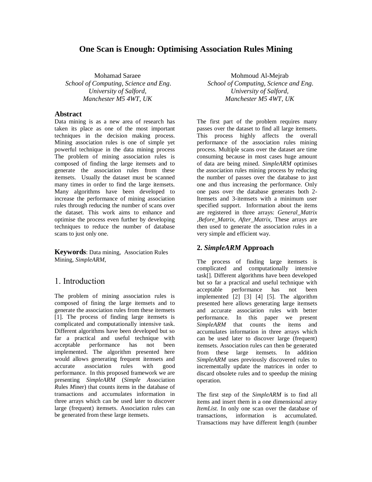# **One Scan is Enough: Optimising Association Rules Mining**

Mohamad Saraee *School of Computing, Science and Eng. University of Salford, Manchester M5 4WT, UK*

#### **Abstract**

Data mining is as a new area of research has taken its place as one of the most important techniques in the decision making process. Mining association rules is one of simple yet powerful technique in the data mining process The problem of mining association rules is composed of finding the large itemsets and to generate the association rules from these itemsets. Usually the dataset must be scanned many times in order to find the large itemsets. Many algorithms have been developed to increase the performance of mining association rules through reducing the number of scans over the dataset. This work aims to enhance and optimise the process even further by developing techniques to reduce the number of database scans to just only one.

**Keywords**: Data mining, Association Rules Mining, *SimpleARM*,

# 1. Introduction

The problem of mining association rules is composed of fining the large itemsets and to generate the association rules from these itemsets [1]. The process of finding large itemsets is complicated and computationally intensive task. Different algorithms have been developed but so far a practical and useful technique with acceptable performance has not been implemented. The algorithm presented here would allows generating frequent itemsets and accurate association rules with good performance. In this proposed framework we are presenting *SimpleARM* (*Simple A*ssociation *R*ules *M*iner) that counts items in the database of transactions and accumulates information in three arrays which can be used later to discover large (frequent) itemsets. Association rules can be generated from these large itemsets.

Mohmoud Al-Mejrab *School of Computing, Science and Eng. University of Salford, Manchester M5 4WT, UK*

The first part of the problem requires many passes over the dataset to find all large itemsets. This process highly affects the overall performance of the association rules mining process. Multiple scans over the dataset are time consuming because in most cases huge amount of data are being mined. *SimpleARM* optimises the association rules mining process by reducing the number of passes over the database to just one and thus increasing the performance. Only one pass over the database generates both 2- Itemsets and 3-itemsets with a minimum user specified support. Information about the items are registered in three arrays: *General\_Matrix ,Before\_Matrix*, *After\_Matrix,* These arrays are then used to generate the association rules in a very simple and efficient way.

#### **2.** *SimpleARM* **Approach**

The process of finding large itemsets is complicated and computationally intensive task[]. Different algorithms have been developed but so far a practical and useful technique with acceptable performance has not been implemented [2] [3] [4] [5]. The algorithm presented here allows generating large itemsets and accurate association rules with better performance. In this paper we present *SimpleARM* that counts the items and accumulates information in three arrays which can be used later to discover large (frequent) itemsets. Association rules can then be generated from these large itemsets. In addition *SimpleARM* uses previously discovered rules to incrementally update the matrices in order to discard obsolete rules and to speedup the mining operation.

The first step of the *SimpleARM* is to find all items and insert them in a one dimensional array *ItemList.* In only one scan over the database of transactions, information is accumulated. Transactions may have different length (number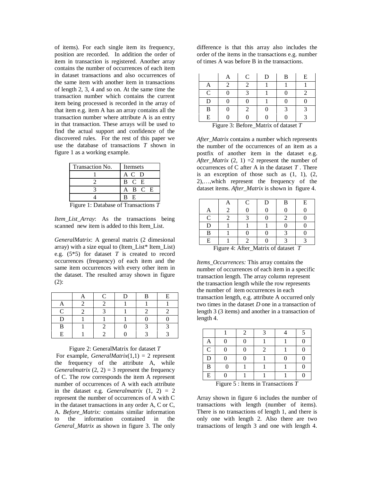of items). For each single item its frequency, position are recorded. In addition the order of item in transaction is registered. Another array contains the number of occurrences of each item in dataset transactions and also occurrences of the same item with another item in transactions of length 2, 3, 4 and so on. At the same time the transaction number which contains the current item being processed is recorded in the array of that item e.g. item A has an array contains all the transaction number where attribute A is an entry in that transaction. These arrays will be used to find the actual support and confidence of the discovered rules. For the rest of this paper we use the database of transactions *T* shown in figure 1 as a working example.

| Transaction No. | Itemsets   |  |  |  |  |  |
|-----------------|------------|--|--|--|--|--|
|                 | A C D      |  |  |  |  |  |
|                 | B C E      |  |  |  |  |  |
|                 | A B C E    |  |  |  |  |  |
|                 | E<br>-R    |  |  |  |  |  |
|                 | $\sim$ $-$ |  |  |  |  |  |

Figure 1: Database of Transactions *T*

*Item\_List\_Array*: As the transactions being scanned new item is added to this Item\_List.

*GeneralMatrix*: A general matrix (2 dimesional array) with a size equal to (Item\_List\* Item\_List) e.g. (5\*5) for dataset *T* is created to record occurrences (frequency) of each item and the same item occurrences with every other item in the dataset. The resulted array shown in figure (2):

|           | ┌ | D | B | E |
|-----------|---|---|---|---|
|           |   |   |   |   |
| $\subset$ |   |   |   |   |
| D         |   |   |   |   |
| В         |   |   |   |   |
| E         |   |   |   |   |

Figure 2: GeneralMatrix for dataset *T*

For example, *GeneralMatrix*(1,1) = 2 represent the frequency of the attribute A, while *Generalmatrix*  $(2, 2) = 3$  represent the frequency of C. The row corresponds the item A represent number of occurrences of A with each attribute in the dataset e.g. *Generalmatrix*  $(1, 2) = 2$ represent the number of occurrences of A with C in the dataset transactions in any order A, C or C, A. *Before\_Matrix:* contains similar information to the information contained in the *General\_Matrix* as shown in figure 3. The only difference is that this array also includes the order of the items in the transactions e.g. number of times A was before B in the transactions.

|   | $\mathsf{C}$ | D | B | E |
|---|--------------|---|---|---|
|   |              |   |   |   |
| C |              |   |   |   |
| D |              |   |   |   |
| B |              |   |   |   |
| E |              |   |   |   |

Figure 3: Before\_Matrix of dataset *T*

*After\_Matrix* contains a number which represents the number of the occurrences of an item as a postfix of another item in the dataset e.g. *After Matrix* (2, 1) =2 represent the number of occurrences of C after A in the dataset *T* . There is an exception of those such as  $(1, 1)$ ,  $(2, 1)$ 2),…,which represent the frequency of the dataset items. *After\_Matrix* is shown in figure 4.

|                                               |  |  |  |  | E |  |
|-----------------------------------------------|--|--|--|--|---|--|
|                                               |  |  |  |  |   |  |
| $\mathsf{\Gamma}$                             |  |  |  |  |   |  |
|                                               |  |  |  |  |   |  |
| B                                             |  |  |  |  |   |  |
| E                                             |  |  |  |  |   |  |
| Figure $4 \cdot$ After Matrix of dataset<br>T |  |  |  |  |   |  |

Figure 4: After\_Matrix of dataset *T*

*Items\_Occurrences:* This array contains the number of occurrences of each item in a specific transaction length. The array column represent the transaction length while the row represents the number of item occurrences in each transaction length, e.g. attribute A occurred only two times in the dataset *D* one in a transaction of length 3 (3 items) and another in a transaction of length 4.

|                                                                                                                                                                                                                                                                         |  | 2 |  |  |  |  |  |
|-------------------------------------------------------------------------------------------------------------------------------------------------------------------------------------------------------------------------------------------------------------------------|--|---|--|--|--|--|--|
| A                                                                                                                                                                                                                                                                       |  | 0 |  |  |  |  |  |
| $\mathcal{C}$                                                                                                                                                                                                                                                           |  |   |  |  |  |  |  |
| D                                                                                                                                                                                                                                                                       |  |   |  |  |  |  |  |
| B                                                                                                                                                                                                                                                                       |  |   |  |  |  |  |  |
| E                                                                                                                                                                                                                                                                       |  |   |  |  |  |  |  |
| $\mathbf{E}^{\bullet}$ . The set<br><b>C</b> Letter Contains the Contact Contact Contact Contact Contact Contact Contact Contact Contact Contact Contact Contact Contact Contact Contact Contact Contact Contact Contact Contact Contact Contact Contact Contact Contac |  |   |  |  |  |  |  |

Figure 5 : Items in Transactions *T*

Array shown in figure 6 includes the number of transactions with length (number of items). There is no transactions of length 1, and there is only one with length 2. Also there are two transactions of length 3 and one with length 4.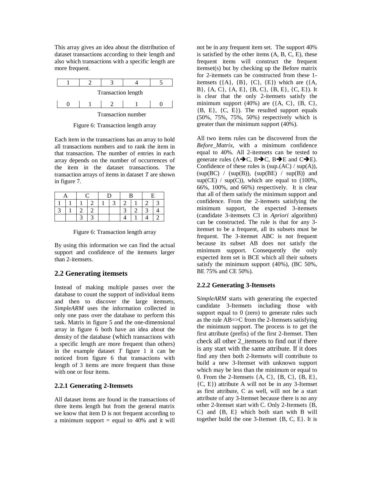This array gives an idea about the distribution of dataset transactions according to their length and also which transactions with a specific length are more frequent.



Figure 6: Transaction length array

Each item in the transactions has an array to hold all transactions numbers and to rank the item in that transaction. The number of entries in each array depends on the number of occurrences of the item in the dataset transactions. The transaction arrays of items in dataset *T* are shown in figure 7.

|  |  |  | 1 |  |
|--|--|--|---|--|
|  |  |  |   |  |
|  |  |  |   |  |

Figure 6: Transaction length array

By using this information we can find the actual support and confidence of the itemsets larger than 2-itemsets.

## **2.2 Generating itemsets**

Instead of making multiple passes over the database to count the support of individual items and then to discover the large itemsets, *SimpleARM* uses the information collected in only one pass over the database to perform this task. Matrix in figure 5 and the one-dimensional array in figure 6 both have an idea about the density of the database (which transactions with a specific length are more frequent than others) in the example dataset *T* figure 1 it can be noticed from figure 6 that transactions with length of 3 items are more frequent than those with one or four items.

#### **2.2.1 Generating 2-Itemsets**

All dataset items are found in the transactions of three items length but from the general matrix we know that item D is not frequent according to a minimum support  $=$  equal to 40% and it will

not be in any frequent item set. The support 40% is satisfied by the other items  $(A, B, C, E)$ , these frequent items will construct the frequent itemset(s) but by checking up the Before matrix for 2-itemsets can be constructed from these 1 itemsets  $(\{A\}, \{B\}, \{C\}, \{E\})$  which are  $(\{A,$ B}, {A, C}, {A, E}, {B, C}, {B, E}, {C, E}). It is clear that the only 2-itemsets satisfy the minimum support  $(40%)$  are  $({A, C}, {B, C},$ {B, E}, {C, E}). The resulted support equals (50%, 75%, 75%, 50%) respectively which is greater than the minimum support (40%).

All two items rules can be discovered from the *Before\_Matrix*, with a minimum confidence equal to 40%. All 2-itemsets can be tested to generate rules ( $A \rightarrow C$ ,  $B \rightarrow C$ ,  $B \rightarrow E$  and  $C \rightarrow E$ ). Confidence of these rules is  $(sup.(AC) / sup(A)),$  $(sup(BC) / (sup(B)), (sup(BE) / sup(B))$  and  $sup(CE)$  /  $sup(C)$ , which are equal to (100%, 66%, 100%, and 66%) respectively. It is clear that all of them satisfy the minimum support and confidence. From the 2-itemsets satisfying the minimum support, the expected 3-itemsets (candidate 3-itemsets C3 in *Apriori* algorithm) can be constructed. The rule is that for any 3 itemset to be a frequent, all its subsets must be frequent. The 3-itemset ABC is not frequent because its subset AB does not satisfy the minimum support. Consequently the only expected item set is BCE which all their subsets satisfy the minimum support (40%), (BC 50%, BE 75% and CE 50%).

## **2.2.2 Generating 3-Itemsets**

S*impleARM* starts with generating the expected candidate 3-Itemsets including those with support equal to 0 (zero) to generate rules such as the rule  $AB = \gt C$  from the 2-Itemsets satisfying the minimum support. The process is to get the first attribute (prefix) of the first 2-Itemset. Then check all other 2\_itemsets to find out if there is any start with the same attribute. If it does find any then both 2-Itemsets will contribute to build a new 3-Itemset with unknown support which may be less than the minimum or equal to 0. From the 2-Itemsets  $\{A, C\}$ ,  $\{B, C\}$ ,  $\{B, E\}$ , {C, E}) attribute A will not be in any 3-Itemset as first attribute, C as well, will not be a start attribute of any 3-Itemset because there is no any other 2-Itemset start with C. Only 2-Itemsets {B, C} and {B, E} which both start with B will together build the one 3-Itemset {B, C, E}. It is